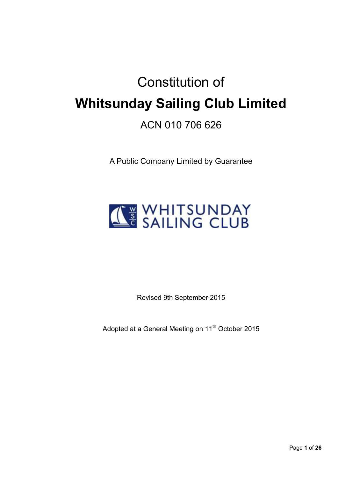# Constitution of **Whitsunday Sailing Club Limited**  ACN 010 706 626

A Public Company Limited by Guarantee



Revised 9th September 2015

Adopted at a General Meeting on 11<sup>th</sup> October 2015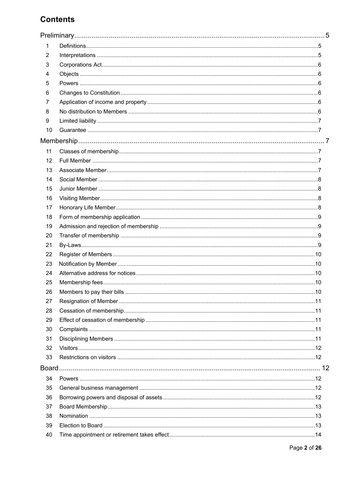# **Contents**

| 1  |  |
|----|--|
| 2  |  |
| 3  |  |
| 4  |  |
| 5  |  |
| 6  |  |
| 7  |  |
| 8  |  |
| 9  |  |
| 10 |  |
|    |  |
| 11 |  |
| 12 |  |
| 13 |  |
| 14 |  |
| 15 |  |
| 16 |  |
| 17 |  |
| 18 |  |
| 19 |  |
| 20 |  |
| 21 |  |
| 22 |  |
| 23 |  |
| 24 |  |
| 25 |  |
| 26 |  |
| 27 |  |
| 28 |  |
| 29 |  |
| 30 |  |
| 31 |  |
| 32 |  |
| 33 |  |
|    |  |
| 34 |  |
| 35 |  |
| 36 |  |
| 37 |  |
| 38 |  |
| 39 |  |
| 40 |  |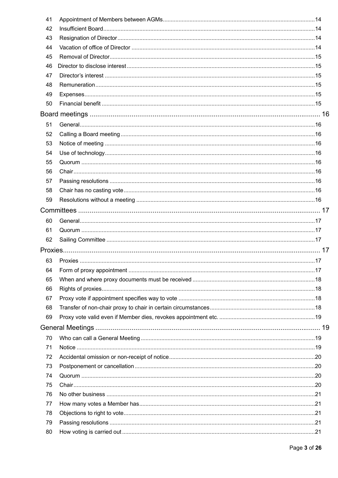| 41 |     |
|----|-----|
| 42 |     |
| 43 |     |
| 44 |     |
| 45 |     |
| 46 |     |
| 47 |     |
| 48 |     |
| 49 |     |
| 50 |     |
|    |     |
| 51 |     |
| 52 |     |
| 53 |     |
| 54 |     |
| 55 |     |
| 56 |     |
| 57 |     |
| 58 |     |
| 59 |     |
|    |     |
| 60 |     |
| 61 |     |
| 62 |     |
|    |     |
| 63 |     |
|    | .17 |
| 65 |     |
| 66 |     |
| 67 |     |
| 68 |     |
| 69 |     |
|    |     |
| 70 |     |
| 71 |     |
| 72 |     |
| 73 |     |
| 74 |     |
| 75 |     |
| 76 |     |
| 77 |     |
| 78 |     |
| 79 |     |
| 80 |     |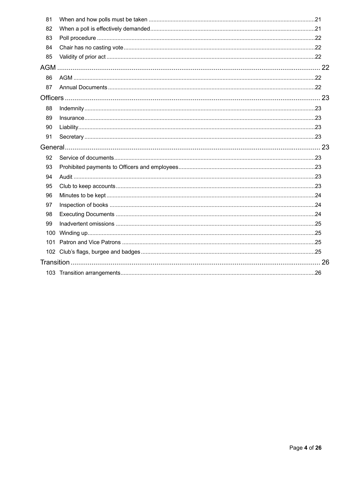| 81  |  |  |  |
|-----|--|--|--|
| 82  |  |  |  |
| 83  |  |  |  |
| 84  |  |  |  |
| 85  |  |  |  |
|     |  |  |  |
| 86  |  |  |  |
| 87  |  |  |  |
|     |  |  |  |
| 88  |  |  |  |
| 89  |  |  |  |
| 90  |  |  |  |
| 91  |  |  |  |
|     |  |  |  |
| 92  |  |  |  |
| 93  |  |  |  |
| 94  |  |  |  |
| 95  |  |  |  |
| 96  |  |  |  |
| 97  |  |  |  |
| 98  |  |  |  |
| 99  |  |  |  |
|     |  |  |  |
| 101 |  |  |  |
|     |  |  |  |
|     |  |  |  |
|     |  |  |  |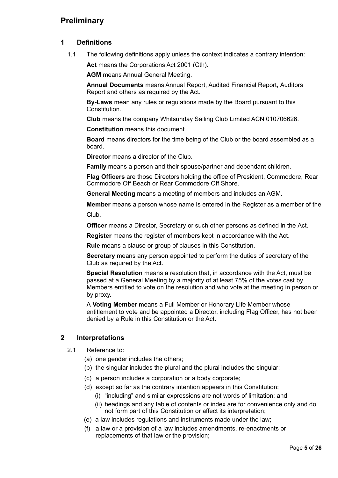# **Preliminary**

## **1 Definitions**

1.1 The following definitions apply unless the context indicates a contrary intention: Act means the Corporations Act 2001 (Cth).

**AGM** means Annual General Meeting.

**Annual Documents** means Annual Report, Audited Financial Report, Auditors Report and others as required by the Act.

**By-Laws** mean any rules or regulations made by the Board pursuant to this Constitution.

**Club** means the company Whitsunday Sailing Club Limited ACN 010706626.

**Constitution** means this document.

**Board** means directors for the time being of the Club or the board assembled as a board.

**Director** means a director of the Club.

**Family** means a person and their spouse/partner and dependant children.

**Flag Officers** are those Directors holding the office of President, Commodore, Rear Commodore Off Beach or Rear Commodore Off Shore.

**General Meeting** means a meeting of members and includes an AGM**.** 

**Member** means a person whose name is entered in the Register as a member of the Club.

**Officer** means a Director, Secretary or such other persons as defined in the Act.

**Register** means the register of members kept in accordance with the Act.

**Rule** means a clause or group of clauses in this Constitution.

**Secretary** means any person appointed to perform the duties of secretary of the Club as required by the Act.

**Special Resolution** means a resolution that, in accordance with the Act, must be passed at a General Meeting by a majority of at least 75% of the votes cast by Members entitled to vote on the resolution and who vote at the meeting in person or by proxy.

A **Voting Member** means a Full Member or Honorary Life Member whose entitlement to vote and be appointed a Director, including Flag Officer, has not been denied by a Rule in this Constitution or the Act.

## **2 Interpretations**

- 2.1 Reference to:
	- (a) one gender includes the others;
	- (b) the singular includes the plural and the plural includes the singular;
	- (c) a person includes a corporation or a body corporate;
	- (d) except so far as the contrary intention appears in this Constitution:
		- (i) "including" and similar expressions are not words of limitation; and
		- (ii) headings and any table of contents or index are for convenience only and do not form part of this Constitution or affect its interpretation;
	- (e) a law includes regulations and instruments made under the law;
	- (f) a law or a provision of a law includes amendments, re-enactments or replacements of that law or the provision;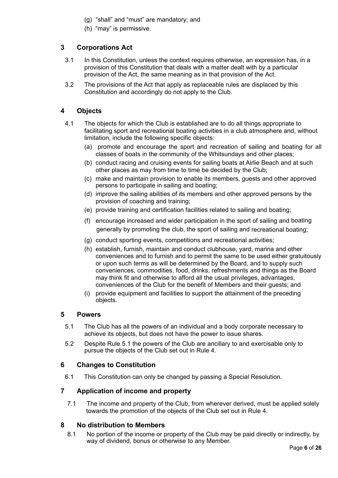- (g) "shall" and "must" are mandatory; and
- (h) "may" is permissive.

## **3 Corporations Act**

- 3.1 In this Constitution, unless the context requires otherwise, an expression has, in a provision of this Constitution that deals with a matter dealt with by a particular provision of the Act, the same meaning as in that provision of the Act.
- 3.2 The provisions of the Act that apply as replaceable rules are displaced by this Constitution and accordingly do not apply to the Club.

## **4 Objects**

- 4.1 The objects for which the Club is established are to do all things appropriate to facilitating sport and recreational boating activities in a club atmosphere and, without limitation, include the following specific objects:
	- (a) promote and encourage the sport and recreation of sailing and boating for all classes of boats in the community of the Whitsundays and other places;
	- (b) conduct racing and cruising events for sailing boats at Airlie Beach and at such other places as may from time to time be decided by the Club;
	- (c) make and maintain provision to enable its members, guests and other approved persons to participate in sailing and boating;
	- (d) improve the sailing abilities of its members and other approved persons by the provision of coaching and training;
	- (e) provide training and certification facilities related to sailing and boating;
	- (f) encourage increased and wider participation in the sport of sailing and boating generally by promoting the club, the sport of sailing and recreational boating;
	- (g) conduct sporting events, competitions and recreational activities;
	- (h) establish, furnish, maintain and conduct clubhouse, yard, marina and other conveniences and to furnish and to permit the same to be used either gratuitously or upon such terms as will be determined by the Board, and to supply such conveniences, commodities, food, drinks, refreshments and things as the Board may think fit and otherwise to afford all the usual privileges, advantages, conveniences of the Club for the benefit of Members and their guests; and
	- (i) provide equipment and facilities to support the attainment of the preceding objects.

#### **5 Powers**

- 5.1 The Club has all the powers of an individual and a body corporate necessary to achieve its objects, but does not have the power to issue shares.
- 5.2 Despite Rule 5.1 the powers of the Club are ancillary to and exercisable only to pursue the objects of the Club set out in Rule 4.

## **6 Changes to Constitution**

6.1 This Constitution can only be changed by passing a Special Resolution.

## **7 Application of income and property**

7.1 The income and property of the Club, from wherever derived, must be applied solely towards the promotion of the objects of the Club set out in Rule 4.

#### **8 No distribution to Members**

8.1 No portion of the income or property of the Club may be paid directly or indirectly, by way of dividend, bonus or otherwise to any Member.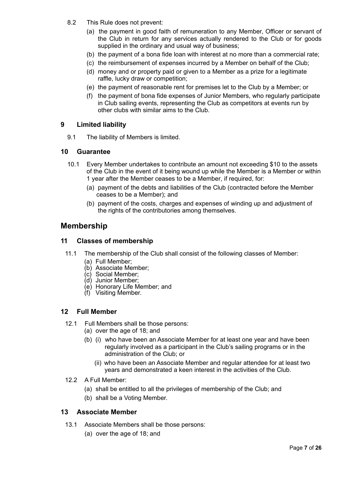- 8.2 This Rule does not prevent:
	- (a) the payment in good faith of remuneration to any Member, Officer or servant of the Club in return for any services actually rendered to the Club or for goods supplied in the ordinary and usual way of business;
	- (b) the payment of a bona fide loan with interest at no more than a commercial rate;
	- (c) the reimbursement of expenses incurred by a Member on behalf of the Club;
	- (d) money and or property paid or given to a Member as a prize for a legitimate raffle, lucky draw or competition;
	- (e) the payment of reasonable rent for premises let to the Club by a Member; or
	- (f) the payment of bona fide expenses of Junior Members, who regularly participate in Club sailing events, representing the Club as competitors at events run by other clubs with similar aims to the Club.

## **9 Limited liability**

9.1 The liability of Members is limited.

#### **10 Guarantee**

- 10.1 Every Member undertakes to contribute an amount not exceeding \$10 to the assets of the Club in the event of it being wound up while the Member is a Member or within 1 year after the Member ceases to be a Member, if required, for:
	- (a) payment of the debts and liabilities of the Club (contracted before the Member ceases to be a Member); and
	- (b) payment of the costs, charges and expenses of winding up and adjustment of the rights of the contributories among themselves.

## **Membership**

#### **11 Classes of membership**

- 11.1 The membership of the Club shall consist of the following classes of Member:
	- (a) Full Member;
	- (b) Associate Member;
	- (c) Social Member;
	- (d) Junior Member;
	- (e) Honorary Life Member; and
	- (f) Visiting Member.

#### **12 Full Member**

- 12.1 Full Members shall be those persons:
	- (a) over the age of 18; and
	- (b) (i) who have been an Associate Member for at least one year and have been regularly involved as a participant in the Club's sailing programs or in the administration of the Club; or
		- (ii) who have been an Associate Member and regular attendee for at least two years and demonstrated a keen interest in the activities of the Club.
- 12.2 A Full Member:
	- (a) shall be entitled to all the privileges of membership of the Club; and
	- (b) shall be a Voting Member.

#### **13 Associate Member**

- 13.1 Associate Members shall be those persons:
	- (a) over the age of 18; and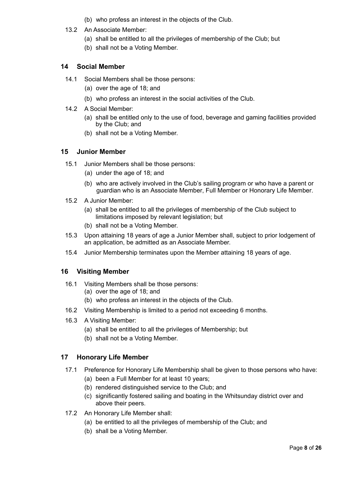- (b) who profess an interest in the objects of the Club.
- 13.2 An Associate Member:
	- (a) shall be entitled to all the privileges of membership of the Club; but
	- (b) shall not be a Voting Member.

## **14 Social Member**

- 14.1 Social Members shall be those persons:
	- (a) over the age of 18; and
	- (b) who profess an interest in the social activities of the Club.
- 14.2 A Social Member:
	- (a) shall be entitled only to the use of food, beverage and gaming facilities provided by the Club; and
	- (b) shall not be a Voting Member.

#### **15 Junior Member**

- 15.1 Junior Members shall be those persons:
	- (a) under the age of 18; and
	- (b) who are actively involved in the Club's sailing program or who have a parent or guardian who is an Associate Member, Full Member or Honorary Life Member.
- 15.2 A Junior Member:
	- (a) shall be entitled to all the privileges of membership of the Club subject to limitations imposed by relevant legislation; but
	- (b) shall not be a Voting Member.
- 15.3 Upon attaining 18 years of age a Junior Member shall, subject to prior lodgement of an application, be admitted as an Associate Member.
- 15.4 Junior Membership terminates upon the Member attaining 18 years of age.

## **16 Visiting Member**

- 16.1 Visiting Members shall be those persons:
	- (a) over the age of 18; and
	- (b) who profess an interest in the objects of the Club.
- 16.2 Visiting Membership is limited to a period not exceeding 6 months.
- 16.3 A Visiting Member:
	- (a) shall be entitled to all the privileges of Membership; but
	- (b) shall not be a Voting Member.

## **17 Honorary Life Member**

- 17.1 Preference for Honorary Life Membership shall be given to those persons who have:
	- (a) been a Full Member for at least 10 years;
	- (b) rendered distinguished service to the Club; and
	- (c) significantly fostered sailing and boating in the Whitsunday district over and above their peers.
- 17.2 An Honorary Life Member shall:
	- (a) be entitled to all the privileges of membership of the Club; and
	- (b) shall be a Voting Member.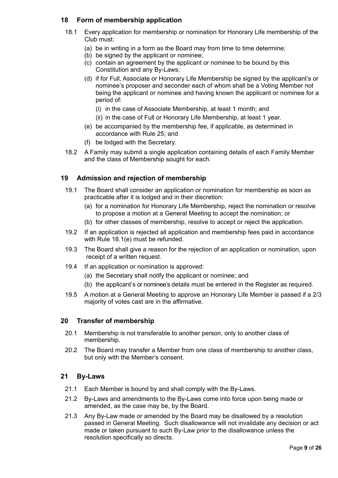## **18 Form of membership application**

- 18.1 Every application for membership or nomination for Honorary Life membership of the Club must:
	- (a) be in writing in a form as the Board may from time to time determine;
	- (b) be signed by the applicant or nominee;
	- (c) contain an agreement by the applicant or nominee to be bound by this Constitution and any By-Laws;
	- (d) if for Full, Associate or Honorary Life Membership be signed by the applicant's or nominee's proposer and seconder each of whom shall be a Voting Member not being the applicant or nominee and having known the applicant or nominee for a period of:
		- (i) in the case of Associate Membership, at least 1 month; and
		- (ii) in the case of Full or Honorary Life Membership, at least 1 year.
	- (e) be accompanied by the membership fee, if applicable, as determined in accordance with Rule 25; and
	- (f) be lodged with the Secretary.
- 18.2 A Family may submit a single application containing details of each Family Member and the class of Membership sought for each.

## **19 Admission and rejection of membership**

- 19.1 The Board shall consider an application or nomination for membership as soon as practicable after it is lodged and in their discretion:
	- (a) for a nomination for Honorary Life Membership, reject the nomination or resolve to propose a motion at a General Meeting to accept the nomination; or
	- (b) for other classes of membership, resolve to accept or reject the application.
- 19.2 If an application is rejected all application and membership fees paid in accordance with Rule 18.1(e) must be refunded.
- 19.3 The Board shall give a reason for the rejection of an application or nomination, upon receipt of a written request.
- 19.4 If an application or nomination is approved:
	- (a) the Secretary shall notify the applicant or nominee; and
	- (b) the applicant's or nominee's details must be entered in the Register as required.
- 19.5 A motion at a General Meeting to approve an Honorary Life Member is passed if a 2/3 majority of votes cast are in the affirmative.

## **20 Transfer of membership**

- 20.1 Membership is not transferable to another person, only to another class of membership.
- 20.2 The Board may transfer a Member from one class of membership to another class, but only with the Member's consent.

## **21 By-Laws**

- 21.1 Each Member is bound by and shall comply with the By-Laws.
- 21.2 By-Laws and amendments to the By-Laws come into force upon being made or amended, as the case may be, by the Board.
- 21.3 Any By-Law made or amended by the Board may be disallowed by a resolution passed in General Meeting. Such disallowance will not invalidate any decision or act made or taken pursuant to such By-Law prior to the disallowance unless the resolution specifically so directs.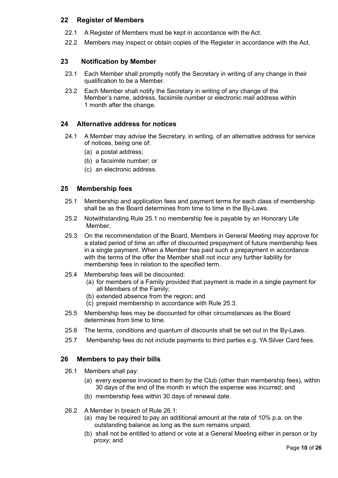## **22 Register of Members**

- 22.1 A Register of Members must be kept in accordance with the Act.
- 22.2 Members may inspect or obtain copies of the Register in accordance with the Act.

## **23 Notification by Member**

- 23.1 Each Member shall promptly notify the Secretary in writing of any change in their qualification to be a Member.
- 23.2 Each Member shall notify the Secretary in writing of any change of the Member's name, address, facsimile number or electronic mail address within 1 month after the change.

## **24 Alternative address for notices**

- 24.1 A Member may advise the Secretary, in writing, of an alternative address for service of notices, being one of:
	- (a) a postal address;
	- (b) a facsimile number; or
	- (c) an electronic address.

#### **25 Membership fees**

- 25.1 Membership and application fees and payment terms for each class of membership shall be as the Board determines from time to time in the By-Laws.
- 25.2 Notwithstanding Rule 25.1 no membership fee is payable by an Honorary Life Member.
- 25.3 On the recommendation of the Board, Members in General Meeting may approve for a stated period of time an offer of discounted prepayment of future membership fees in a single payment. When a Member has paid such a prepayment in accordance with the terms of the offer the Member shall not incur any further liability for membership fees in relation to the specified term.
- 25.4 Membership fees will be discounted:
	- (a) for members of a Family provided that payment is made in a single payment for all Members of the Family;
	- (b) extended absence from the region; and
	- (c) prepaid membership in accordance with Rule 25.3.
- 25.5 Membership fees may be discounted for other circumstances as the Board determines from time to time.
- 25.6 The terms, conditions and quantum of discounts shall be set out in the By-Laws.
- 25.7 Membership fees do not include payments to third parties e.g. YA Silver Card fees.

## **26 Members to pay their bills**

- 26.1 Members shall pay:
	- (a) every expense invoiced to them by the Club (other than membership fees), within 30 days of the end of the month in which the expense was incurred; and
	- (b) membership fees within 30 days of renewal date.
- 26.2 A Member in breach of Rule 26.1:
	- (a) may be required to pay an additional amount at the rate of 10% p.a. on the outstanding balance as long as the sum remains unpaid;
	- (b) shall not be entitled to attend or vote at a General Meeting either in person or by proxy; and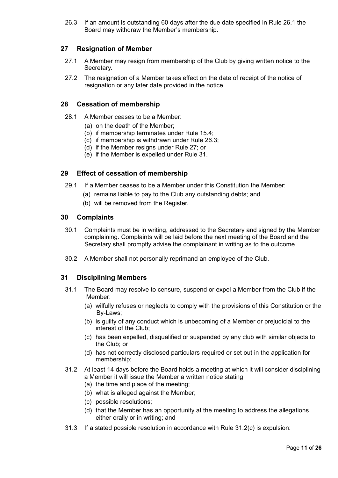26.3 If an amount is outstanding 60 days after the due date specified in Rule 26.1 the Board may withdraw the Member's membership.

## **27 Resignation of Member**

- 27.1 A Member may resign from membership of the Club by giving written notice to the Secretary.
- 27.2 The resignation of a Member takes effect on the date of receipt of the notice of resignation or any later date provided in the notice.

#### **28 Cessation of membership**

- 28.1 A Member ceases to be a Member:
	- (a) on the death of the Member;
	- (b) if membership terminates under Rule 15.4;
	- (c) if membership is withdrawn under Rule 26.3;
	- (d) if the Member resigns under Rule 27; or
	- (e) if the Member is expelled under Rule 31.

#### **29 Effect of cessation of membership**

- 29.1 If a Member ceases to be a Member under this Constitution the Member:
	- (a) remains liable to pay to the Club any outstanding debts; and
	- (b) will be removed from the Register.

#### **30 Complaints**

- 30.1 Complaints must be in writing, addressed to the Secretary and signed by the Member complaining. Complaints will be laid before the next meeting of the Board and the Secretary shall promptly advise the complainant in writing as to the outcome.
- 30.2 A Member shall not personally reprimand an employee of the Club.

#### **31 Disciplining Members**

- 31.1 The Board may resolve to censure, suspend or expel a Member from the Club if the Member:
	- (a) wilfully refuses or neglects to comply with the provisions of this Constitution or the By-Laws;
	- (b) is guilty of any conduct which is unbecoming of a Member or prejudicial to the interest of the Club;
	- (c) has been expelled, disqualified or suspended by any club with similar objects to the Club; or
	- (d) has not correctly disclosed particulars required or set out in the application for membership;
- 31.2 At least 14 days before the Board holds a meeting at which it will consider disciplining a Member it will issue the Member a written notice stating:
	- (a) the time and place of the meeting;
	- (b) what is alleged against the Member;
	- (c) possible resolutions;
	- (d) that the Member has an opportunity at the meeting to address the allegations either orally or in writing; and
- 31.3 If a stated possible resolution in accordance with Rule 31.2(c) is expulsion: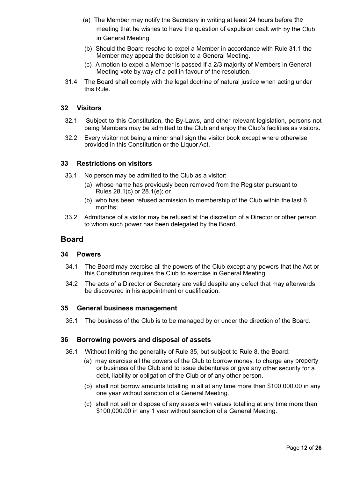- (a) The Member may notify the Secretary in writing at least 24 hours before the meeting that he wishes to have the question of expulsion dealt with by the Club in General Meeting.
- (b) Should the Board resolve to expel a Member in accordance with Rule 31.1 the Member may appeal the decision to a General Meeting.
- (c) A motion to expel a Member is passed if a 2/3 majority of Members in General Meeting vote by way of a poll in favour of the resolution.
- 31.4 The Board shall comply with the legal doctrine of natural justice when acting under this Rule.

## **32 Visitors**

- 32.1 Subject to this Constitution, the By-Laws, and other relevant legislation, persons not being Members may be admitted to the Club and enjoy the Club's facilities as visitors.
- 32.2 Every visitor not being a minor shall sign the visitor book except where otherwise provided in this Constitution or the Liquor Act.

#### **33 Restrictions on visitors**

- 33.1 No person may be admitted to the Club as a visitor:
	- (a) whose name has previously been removed from the Register pursuant to Rules 28.1(c) or 28.1(e); or
	- (b) who has been refused admission to membership of the Club within the last 6 months;
- 33.2 Admittance of a visitor may be refused at the discretion of a Director or other person to whom such power has been delegated by the Board.

## **Board**

#### **34 Powers**

- 34.1 The Board may exercise all the powers of the Club except any powers that the Act or this Constitution requires the Club to exercise in General Meeting.
- 34.2 The acts of a Director or Secretary are valid despite any defect that may afterwards be discovered in his appointment or qualification.

#### **35 General business management**

35.1 The business of the Club is to be managed by or under the direction of the Board.

#### **36 Borrowing powers and disposal of assets**

- 36.1 Without limiting the generality of Rule 35, but subject to Rule 8, the Board:
	- (a) may exercise all the powers of the Club to borrow money, to charge any property or business of the Club and to issue debentures or give any other security for a debt, liability or obligation of the Club or of any other person.
	- (b) shall not borrow amounts totalling in all at any time more than \$100,000.00 in any one year without sanction of a General Meeting.
	- (c) shall not sell or dispose of any assets with values totalling at any time more than \$100,000.00 in any 1 year without sanction of a General Meeting.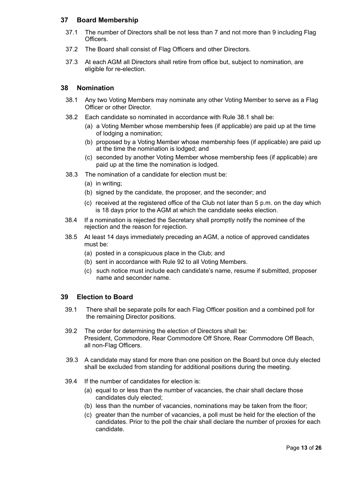## **37 Board Membership**

- 37.1 The number of Directors shall be not less than 7 and not more than 9 including Flag Officers.
- 37.2 The Board shall consist of Flag Officers and other Directors.
- 37.3 At each AGM all Directors shall retire from office but, subject to nomination, are eligible for re-election.

#### **38 Nomination**

- 38.1 Any two Voting Members may nominate any other Voting Member to serve as a Flag Officer or other Director.
- 38.2 Each candidate so nominated in accordance with Rule 38.1 shall be:
	- (a) a Voting Member whose membership fees (if applicable) are paid up at the time of lodging a nomination;
	- (b) proposed by a Voting Member whose membership fees (if applicable) are paid up at the time the nomination is lodged; and
	- (c) seconded by another Voting Member whose membership fees (if applicable) are paid up at the time the nomination is lodged.
- 38.3 The nomination of a candidate for election must be:
	- (a) in writing;
	- (b) signed by the candidate, the proposer, and the seconder; and
	- (c) received at the registered office of the Club not later than 5 p.m. on the day which is 18 days prior to the AGM at which the candidate seeks election.
- 38.4 If a nomination is rejected the Secretary shall promptly notify the nominee of the rejection and the reason for rejection.
- 38.5 At least 14 days immediately preceding an AGM, a notice of approved candidates must be:
	- (a) posted in a conspicuous place in the Club; and
	- (b) sent in accordance with Rule 92 to all Voting Members.
	- (c) such notice must include each candidate's name, resume if submitted, proposer name and seconder name.

#### **39 Election to Board**

- 39.1 There shall be separate polls for each Flag Officer position and a combined poll for the remaining Director positions.
- 39.2 The order for determining the election of Directors shall be: President, Commodore, Rear Commodore Off Shore, Rear Commodore Off Beach, all non-Flag Officers.
- 39.3 A candidate may stand for more than one position on the Board but once duly elected shall be excluded from standing for additional positions during the meeting.
- 39.4 If the number of candidates for election is:
	- (a) equal to or less than the number of vacancies, the chair shall declare those candidates duly elected;
	- (b) less than the number of vacancies, nominations may be taken from the floor;
	- (c) greater than the number of vacancies, a poll must be held for the election of the candidates. Prior to the poll the chair shall declare the number of proxies for each candidate.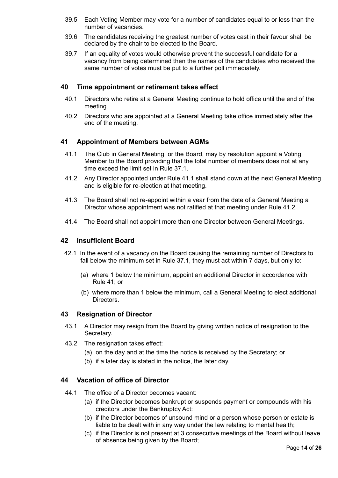- 39.5 Each Voting Member may vote for a number of candidates equal to or less than the number of vacancies.
- 39.6 The candidates receiving the greatest number of votes cast in their favour shall be declared by the chair to be elected to the Board.
- 39.7 If an equality of votes would otherwise prevent the successful candidate for a vacancy from being determined then the names of the candidates who received the same number of votes must be put to a further poll immediately.

#### **40 Time appointment or retirement takes effect**

- 40.1 Directors who retire at a General Meeting continue to hold office until the end of the meeting.
- 40.2 Directors who are appointed at a General Meeting take office immediately after the end of the meeting.

#### **41 Appointment of Members between AGMs**

- 41.1 The Club in General Meeting, or the Board, may by resolution appoint a Voting Member to the Board providing that the total number of members does not at any time exceed the limit set in Rule 37.1.
- 41.2 Any Director appointed under Rule 41.1 shall stand down at the next General Meeting and is eligible for re-election at that meeting.
- 41.3 The Board shall not re-appoint within a year from the date of a General Meeting a Director whose appointment was not ratified at that meeting under Rule 41.2.
- 41.4 The Board shall not appoint more than one Director between General Meetings.

#### **42 Insufficient Board**

- 42.1 In the event of a vacancy on the Board causing the remaining number of Directors to fall below the minimum set in Rule 37.1, they must act within 7 days, but only to:
	- (a) where 1 below the minimum, appoint an additional Director in accordance with Rule 41; or
	- (b) where more than 1 below the minimum, call a General Meeting to elect additional Directors.

#### **43 Resignation of Director**

- 43.1 A Director may resign from the Board by giving written notice of resignation to the Secretary.
- 43.2 The resignation takes effect:
	- (a) on the day and at the time the notice is received by the Secretary; or
	- (b) if a later day is stated in the notice, the later day.

#### **44 Vacation of office of Director**

- 44.1 The office of a Director becomes vacant:
	- (a) if the Director becomes bankrupt or suspends payment or compounds with his creditors under the Bankruptcy Act:
	- (b) if the Director becomes of unsound mind or a person whose person or estate is liable to be dealt with in any way under the law relating to mental health;
	- (c) if the Director is not present at 3 consecutive meetings of the Board without leave of absence being given by the Board;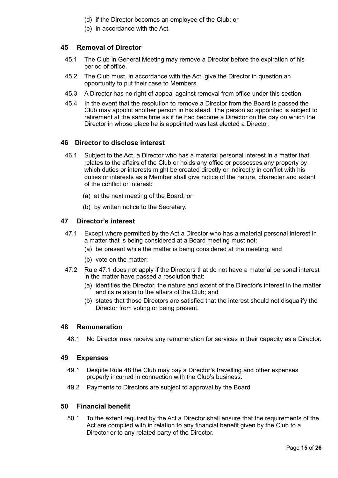- (d) if the Director becomes an employee of the Club; or
- (e) in accordance with the Act.

## **45 Removal of Director**

- 45.1 The Club in General Meeting may remove a Director before the expiration of his period of office.
- 45.2 The Club must, in accordance with the Act, give the Director in question an opportunity to put their case to Members.
- 45.3 A Director has no right of appeal against removal from office under this section.
- 45.4 In the event that the resolution to remove a Director from the Board is passed the Club may appoint another person in his stead. The person so appointed is subject to retirement at the same time as if he had become a Director on the day on which the Director in whose place he is appointed was last elected a Director.

#### **46 Director to disclose interest**

- 46.1 Subject to the Act, a Director who has a material personal interest in a matter that relates to the affairs of the Club or holds any office or possesses any property by which duties or interests might be created directly or indirectly in conflict with his duties or interests as a Member shall give notice of the nature, character and extent of the conflict or interest:
	- (a) at the next meeting of the Board; or
	- (b) by written notice to the Secretary.

#### **47 Director's interest**

- 47.1 Except where permitted by the Act a Director who has a material personal interest in a matter that is being considered at a Board meeting must not:
	- (a) be present while the matter is being considered at the meeting; and
	- (b) vote on the matter;
- 47.2 Rule 47.1 does not apply if the Directors that do not have a material personal interest in the matter have passed a resolution that:
	- (a) identifies the Director, the nature and extent of the Director's interest in the matter and its relation to the affairs of the Club; and
	- (b) states that those Directors are satisfied that the interest should not disqualify the Director from voting or being present.

#### **48 Remuneration**

48.1 No Director may receive any remuneration for services in their capacity as a Director.

#### **49 Expenses**

- 49.1 Despite Rule 48 the Club may pay a Director's travelling and other expenses properly incurred in connection with the Club's business.
- 49.2 Payments to Directors are subject to approval by the Board.

#### **50 Financial benefit**

50.1 To the extent required by the Act a Director shall ensure that the requirements of the Act are complied with in relation to any financial benefit given by the Club to a Director or to any related party of the Director.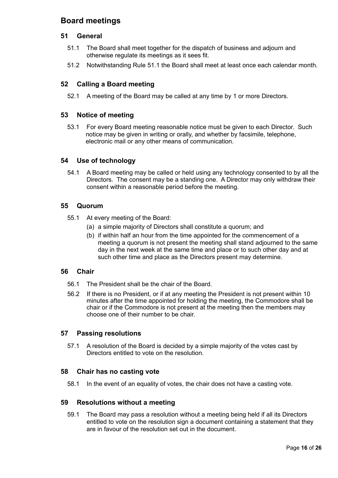# **Board meetings**

## **51 General**

- 51.1 The Board shall meet together for the dispatch of business and adjourn and otherwise regulate its meetings as it sees fit.
- 51.2 Notwithstanding Rule 51.1 the Board shall meet at least once each calendar month.

## **52 Calling a Board meeting**

52.1 A meeting of the Board may be called at any time by 1 or more Directors.

## **53 Notice of meeting**

53.1 For every Board meeting reasonable notice must be given to each Director. Such notice may be given in writing or orally, and whether by facsimile, telephone, electronic mail or any other means of communication.

#### **54 Use of technology**

54.1 A Board meeting may be called or held using any technology consented to by all the Directors. The consent may be a standing one. A Director may only withdraw their consent within a reasonable period before the meeting.

#### **55 Quorum**

- 55.1 At every meeting of the Board:
	- (a) a simple majority of Directors shall constitute a quorum; and
	- (b) if within half an hour from the time appointed for the commencement of a meeting a quorum is not present the meeting shall stand adjourned to the same day in the next week at the same time and place or to such other day and at such other time and place as the Directors present may determine.

#### **56 Chair**

- 56.1 The President shall be the chair of the Board.
- 56.2 If there is no President, or if at any meeting the President is not present within 10 minutes after the time appointed for holding the meeting, the Commodore shall be chair or if the Commodore is not present at the meeting then the members may choose one of their number to be chair.

## **57 Passing resolutions**

57.1 A resolution of the Board is decided by a simple majority of the votes cast by Directors entitled to vote on the resolution.

#### **58 Chair has no casting vote**

58.1 In the event of an equality of votes, the chair does not have a casting vote.

#### **59 Resolutions without a meeting**

59.1 The Board may pass a resolution without a meeting being held if all its Directors entitled to vote on the resolution sign a document containing a statement that they are in favour of the resolution set out in the document.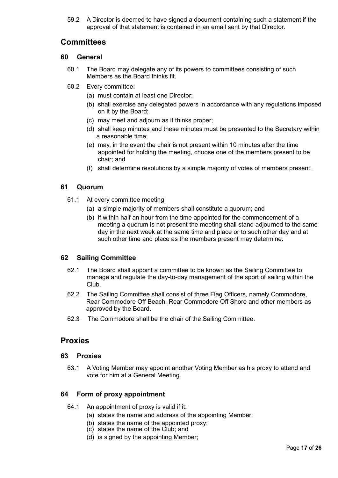59.2 A Director is deemed to have signed a document containing such a statement if the approval of that statement is contained in an email sent by that Director.

## **Committees**

#### **60 General**

- 60.1 The Board may delegate any of its powers to committees consisting of such Members as the Board thinks fit.
- 60.2 Every committee:
	- (a) must contain at least one Director;
	- (b) shall exercise any delegated powers in accordance with any regulations imposed on it by the Board;
	- (c) may meet and adjourn as it thinks proper;
	- (d) shall keep minutes and these minutes must be presented to the Secretary within a reasonable time;
	- (e) may, in the event the chair is not present within 10 minutes after the time appointed for holding the meeting, choose one of the members present to be chair; and
	- (f) shall determine resolutions by a simple majority of votes of members present.

#### **61 Quorum**

- 61.1 At every committee meeting:
	- (a) a simple majority of members shall constitute a quorum; and
	- (b) if within half an hour from the time appointed for the commencement of a meeting a quorum is not present the meeting shall stand adjourned to the same day in the next week at the same time and place or to such other day and at such other time and place as the members present may determine.

## **62 Sailing Committee**

- 62.1 The Board shall appoint a committee to be known as the Sailing Committee to manage and regulate the day-to-day management of the sport of sailing within the Club.
- 62.2 The Sailing Committee shall consist of three Flag Officers, namely Commodore, Rear Commodore Off Beach, Rear Commodore Off Shore and other members as approved by the Board.
- 62.3 The Commodore shall be the chair of the Sailing Committee.

## **Proxies**

#### **63 Proxies**

63.1 A Voting Member may appoint another Voting Member as his proxy to attend and vote for him at a General Meeting.

#### **64 Form of proxy appointment**

- 64.1 An appointment of proxy is valid if it:
	- (a) states the name and address of the appointing Member;
	- (b) states the name of the appointed proxy;
	- (c) states the name of the Club; and
	- (d) is signed by the appointing Member;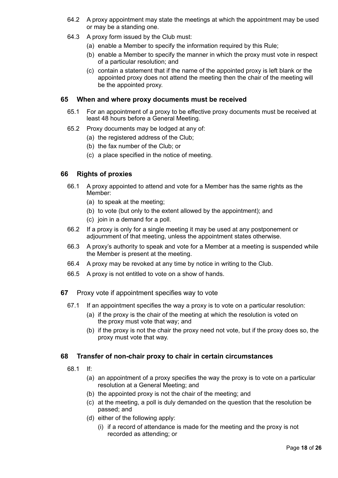- 64.2 A proxy appointment may state the meetings at which the appointment may be used or may be a standing one.
- 64.3 A proxy form issued by the Club must:
	- (a) enable a Member to specify the information required by this Rule;
	- (b) enable a Member to specify the manner in which the proxy must vote in respect of a particular resolution; and
	- (c) contain a statement that if the name of the appointed proxy is left blank or the appointed proxy does not attend the meeting then the chair of the meeting will be the appointed proxy.

## **65 When and where proxy documents must be received**

- 65.1 For an appointment of a proxy to be effective proxy documents must be received at least 48 hours before a General Meeting.
- 65.2 Proxy documents may be lodged at any of:
	- (a) the registered address of the Club;
	- (b) the fax number of the Club; or
	- (c) a place specified in the notice of meeting.

## **66 Rights of proxies**

- 66.1 A proxy appointed to attend and vote for a Member has the same rights as the Member:
	- (a) to speak at the meeting;
	- (b) to vote (but only to the extent allowed by the appointment); and
	- (c) join in a demand for a poll.
- 66.2 If a proxy is only for a single meeting it may be used at any postponement or adjournment of that meeting, unless the appointment states otherwise.
- 66.3 A proxy's authority to speak and vote for a Member at a meeting is suspended while the Member is present at the meeting.
- 66.4 A proxy may be revoked at any time by notice in writing to the Club.
- 66.5 A proxy is not entitled to vote on a show of hands.
- **67** Proxy vote if appointment specifies way to vote
	- 67.1 If an appointment specifies the way a proxy is to vote on a particular resolution:
		- (a) if the proxy is the chair of the meeting at which the resolution is voted on the proxy must vote that way; and
		- (b) if the proxy is not the chair the proxy need not vote, but if the proxy does so, the proxy must vote that way.

## **68 Transfer of non-chair proxy to chair in certain circumstances**

- 68.1 If:
	- (a) an appointment of a proxy specifies the way the proxy is to vote on a particular resolution at a General Meeting; and
	- (b) the appointed proxy is not the chair of the meeting; and
	- (c) at the meeting, a poll is duly demanded on the question that the resolution be passed; and
	- (d) either of the following apply:
		- (i) if a record of attendance is made for the meeting and the proxy is not recorded as attending; or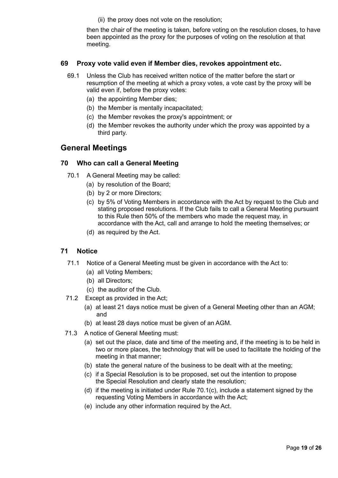(ii) the proxy does not vote on the resolution;

then the chair of the meeting is taken, before voting on the resolution closes, to have been appointed as the proxy for the purposes of voting on the resolution at that meeting.

#### **69 Proxy vote valid even if Member dies, revokes appointment etc.**

- 69.1 Unless the Club has received written notice of the matter before the start or resumption of the meeting at which a proxy votes, a vote cast by the proxy will be valid even if, before the proxy votes:
	- (a) the appointing Member dies;
	- (b) the Member is mentally incapacitated;
	- (c) the Member revokes the proxy's appointment; or
	- (d) the Member revokes the authority under which the proxy was appointed by a third party.

## **General Meetings**

#### **70 Who can call a General Meeting**

- 70.1 A General Meeting may be called:
	- (a) by resolution of the Board;
	- (b) by 2 or more Directors;
	- (c) by 5% of Voting Members in accordance with the Act by request to the Club and stating proposed resolutions. If the Club fails to call a General Meeting pursuant to this Rule then 50% of the members who made the request may, in accordance with the Act, call and arrange to hold the meeting themselves; or
	- (d) as required by the Act.

#### **71 Notice**

- 71.1 Notice of a General Meeting must be given in accordance with the Act to:
	- (a) all Voting Members;
	- (b) all Directors;
	- (c) the auditor of the Club.
- 71.2 Except as provided in the Act;
	- (a) at least 21 days notice must be given of a General Meeting other than an AGM; and
	- (b) at least 28 days notice must be given of an AGM.
- 71.3 A notice of General Meeting must:
	- (a) set out the place, date and time of the meeting and, if the meeting is to be held in two or more places, the technology that will be used to facilitate the holding of the meeting in that manner;
	- (b) state the general nature of the business to be dealt with at the meeting;
	- (c) if a Special Resolution is to be proposed, set out the intention to propose the Special Resolution and clearly state the resolution;
	- (d) if the meeting is initiated under Rule 70.1(c), include a statement signed by the requesting Voting Members in accordance with the Act;
	- (e) include any other information required by the Act.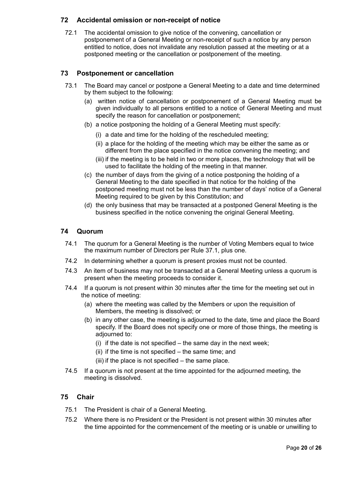## **72 Accidental omission or non-receipt of notice**

72.1 The accidental omission to give notice of the convening, cancellation or postponement of a General Meeting or non-receipt of such a notice by any person entitled to notice, does not invalidate any resolution passed at the meeting or at a postponed meeting or the cancellation or postponement of the meeting.

## **73 Postponement or cancellation**

- 73.1 The Board may cancel or postpone a General Meeting to a date and time determined by them subject to the following:
	- (a) written notice of cancellation or postponement of a General Meeting must be given individually to all persons entitled to a notice of General Meeting and must specify the reason for cancellation or postponement;
	- (b) a notice postponing the holding of a General Meeting must specify:
		- (i) a date and time for the holding of the rescheduled meeting;
		- (ii) a place for the holding of the meeting which may be either the same as or different from the place specified in the notice convening the meeting; and
		- (iii) if the meeting is to be held in two or more places, the technology that will be used to facilitate the holding of the meeting in that manner.
	- (c) the number of days from the giving of a notice postponing the holding of a General Meeting to the date specified in that notice for the holding of the postponed meeting must not be less than the number of days' notice of a General Meeting required to be given by this Constitution; and
	- (d) the only business that may be transacted at a postponed General Meeting is the business specified in the notice convening the original General Meeting.

#### **74 Quorum**

- 74.1 The quorum for a General Meeting is the number of Voting Members equal to twice the maximum number of Directors per Rule 37.1, plus one.
- 74.2 In determining whether a quorum is present proxies must not be counted.
- 74.3 An item of business may not be transacted at a General Meeting unless a quorum is present when the meeting proceeds to consider it.
- 74.4 If a quorum is not present within 30 minutes after the time for the meeting set out in the notice of meeting:
	- (a) where the meeting was called by the Members or upon the requisition of Members, the meeting is dissolved; or
	- (b) in any other case, the meeting is adjourned to the date, time and place the Board specify. If the Board does not specify one or more of those things, the meeting is adjourned to:
		- (i) if the date is not specified the same day in the next week;
		- (ii) if the time is not specified the same time; and
		- (iii) if the place is not specified the same place.
- 74.5 If a quorum is not present at the time appointed for the adjourned meeting, the meeting is dissolved.

## **75 Chair**

- 75.1 The President is chair of a General Meeting.
- 75.2 Where there is no President or the President is not present within 30 minutes after the time appointed for the commencement of the meeting or is unable or unwilling to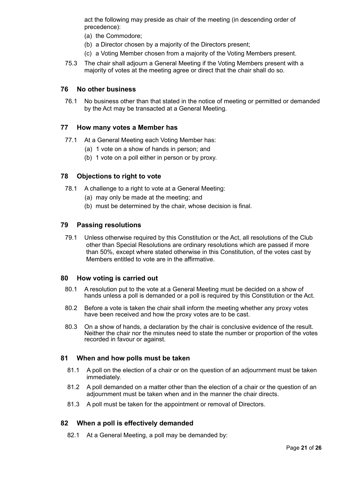act the following may preside as chair of the meeting (in descending order of precedence):

- (a) the Commodore;
- (b) a Director chosen by a majority of the Directors present;
- (c) a Voting Member chosen from a majority of the Voting Members present.
- 75.3 The chair shall adjourn a General Meeting if the Voting Members present with a majority of votes at the meeting agree or direct that the chair shall do so.

#### **76 No other business**

76.1 No business other than that stated in the notice of meeting or permitted or demanded by the Act may be transacted at a General Meeting.

#### **77 How many votes a Member has**

- 77.1 At a General Meeting each Voting Member has:
	- (a) 1 vote on a show of hands in person; and
	- (b) 1 vote on a poll either in person or by proxy.

#### **78 Objections to right to vote**

- 78.1 A challenge to a right to vote at a General Meeting:
	- (a) may only be made at the meeting; and
	- (b) must be determined by the chair, whose decision is final.

#### **79 Passing resolutions**

79.1 Unless otherwise required by this Constitution or the Act, all resolutions of the Club other than Special Resolutions are ordinary resolutions which are passed if more than 50%, except where stated otherwise in this Constitution, of the votes cast by Members entitled to vote are in the affirmative.

#### **80 How voting is carried out**

- 80.1 A resolution put to the vote at a General Meeting must be decided on a show of hands unless a poll is demanded or a poll is required by this Constitution or the Act.
- 80.2 Before a vote is taken the chair shall inform the meeting whether any proxy votes have been received and how the proxy votes are to be cast.
- 80.3 On a show of hands, a declaration by the chair is conclusive evidence of the result. Neither the chair nor the minutes need to state the number or proportion of the votes recorded in favour or against.

#### **81 When and how polls must be taken**

- 81.1 A poll on the election of a chair or on the question of an adjournment must be taken immediately.
- 81.2 A poll demanded on a matter other than the election of a chair or the question of an adjournment must be taken when and in the manner the chair directs.
- 81.3 A poll must be taken for the appointment or removal of Directors.

#### **82 When a poll is effectively demanded**

82.1 At a General Meeting, a poll may be demanded by: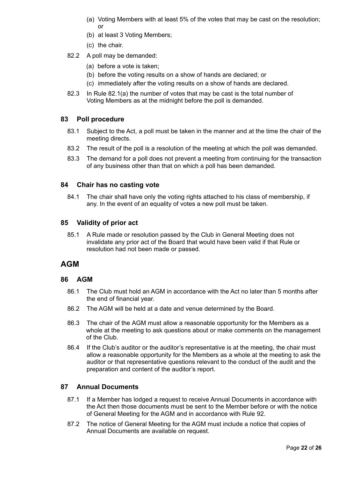- (a) Voting Members with at least 5% of the votes that may be cast on the resolution; or
- (b) at least 3 Voting Members;
- (c) the chair.
- 82.2 A poll may be demanded:
	- (a) before a vote is taken;
	- (b) before the voting results on a show of hands are declared; or
	- (c) immediately after the voting results on a show of hands are declared.
- 82.3 In Rule 82.1(a) the number of votes that may be cast is the total number of Voting Members as at the midnight before the poll is demanded.

#### **83 Poll procedure**

- 83.1 Subject to the Act, a poll must be taken in the manner and at the time the chair of the meeting directs.
- 83.2 The result of the poll is a resolution of the meeting at which the poll was demanded.
- 83.3 The demand for a poll does not prevent a meeting from continuing for the transaction of any business other than that on which a poll has been demanded.

#### **84 Chair has no casting vote**

84.1 The chair shall have only the voting rights attached to his class of membership, if any. In the event of an equality of votes a new poll must be taken.

#### **85 Validity of prior act**

85.1 A Rule made or resolution passed by the Club in General Meeting does not invalidate any prior act of the Board that would have been valid if that Rule or resolution had not been made or passed.

## **AGM**

#### **86 AGM**

- 86.1 The Club must hold an AGM in accordance with the Act no later than 5 months after the end of financial year.
- 86.2 The AGM will be held at a date and venue determined by the Board.
- 86.3 The chair of the AGM must allow a reasonable opportunity for the Members as a whole at the meeting to ask questions about or make comments on the management of the Club.
- 86.4 If the Club's auditor or the auditor's representative is at the meeting, the chair must allow a reasonable opportunity for the Members as a whole at the meeting to ask the auditor or that representative questions relevant to the conduct of the audit and the preparation and content of the auditor's report.

#### **87 Annual Documents**

- 87.1 If a Member has lodged a request to receive Annual Documents in accordance with the Act then those documents must be sent to the Member before or with the notice of General Meeting for the AGM and in accordance with Rule 92.
- 87.2 The notice of General Meeting for the AGM must include a notice that copies of Annual Documents are available on request.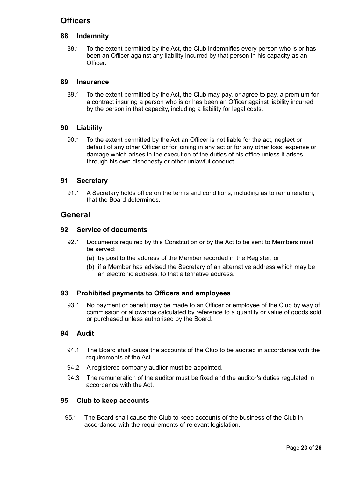# **Officers**

## **88 Indemnity**

88.1 To the extent permitted by the Act, the Club indemnifies every person who is or has been an Officer against any liability incurred by that person in his capacity as an **Officer** 

#### **89 Insurance**

89.1 To the extent permitted by the Act, the Club may pay, or agree to pay, a premium for a contract insuring a person who is or has been an Officer against liability incurred by the person in that capacity, including a liability for legal costs.

#### **90 Liability**

90.1 To the extent permitted by the Act an Officer is not liable for the act, neglect or default of any other Officer or for joining in any act or for any other loss, expense or damage which arises in the execution of the duties of his office unless it arises through his own dishonesty or other unlawful conduct.

#### **91 Secretary**

91.1 A Secretary holds office on the terms and conditions, including as to remuneration, that the Board determines.

## **General**

#### **92 Service of documents**

- 92.1 Documents required by this Constitution or by the Act to be sent to Members must be served:
	- (a) by post to the address of the Member recorded in the Register; or
	- (b) if a Member has advised the Secretary of an alternative address which may be an electronic address, to that alternative address.

## **93 Prohibited payments to Officers and employees**

93.1 No payment or benefit may be made to an Officer or employee of the Club by way of commission or allowance calculated by reference to a quantity or value of goods sold or purchased unless authorised by the Board.

#### **94 Audit**

- 94.1 The Board shall cause the accounts of the Club to be audited in accordance with the requirements of the Act.
- 94.2 A registered company auditor must be appointed.
- 94.3 The remuneration of the auditor must be fixed and the auditor's duties regulated in accordance with the Act.

#### **95 Club to keep accounts**

95.1 The Board shall cause the Club to keep accounts of the business of the Club in accordance with the requirements of relevant legislation.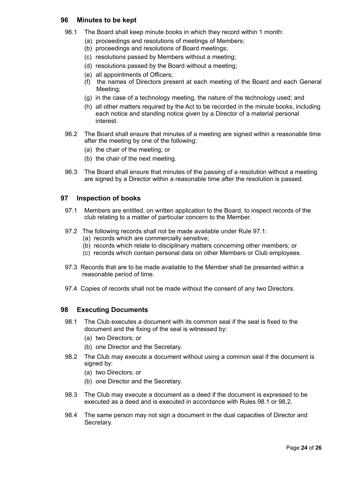#### **96 Minutes to be kept**

- 96.1 The Board shall keep minute books in which they record within 1 month:
	- (a) proceedings and resolutions of meetings of Members;
	- (b) proceedings and resolutions of Board meetings;
	- (c) resolutions passed by Members without a meeting;
	- (d) resolutions passed by the Board without a meeting;
	- (e) all appointments of Officers;
	- (f) the names of Directors present at each meeting of the Board and each General Meeting;
	- (g) in the case of a technology meeting, the nature of the technology used; and
	- (h) all other matters required by the Act to be recorded in the minute books, including each notice and standing notice given by a Director of a material personal interest.
- 96.2 The Board shall ensure that minutes of a meeting are signed within a reasonable time after the meeting by one of the following:
	- (a) the chair of the meeting; or
	- (b) the chair of the next meeting.
- 96.3 The Board shall ensure that minutes of the passing of a resolution without a meeting are signed by a Director within a reasonable time after the resolution is passed.

#### **97 Inspection of books**

- 97.1 Members are entitled, on written application to the Board, to inspect records of the club relating to a matter of particular concern to the Member.
- 97.2 The following records shall not be made available under Rule 97.1:
	- (a) records which are commercially sensitive;
	- (b) records which relate to disciplinary matters concerning other members; or
	- (c) records which contain personal data on other Members or Club employees.
- 97.3 Records that are to be made available to the Member shall be presented within a reasonable period of time.
- 97.4 Copies of records shall not be made without the consent of any two Directors.

#### **98 Executing Documents**

- 98.1 The Club executes a document with its common seal if the seal is fixed to the document and the fixing of the seal is witnessed by:
	- (a) two Directors; or
	- (b) one Director and the Secretary.
- 98.2 The Club may execute a document without using a common seal if the document is signed by:
	- (a) two Directors; or
	- (b) one Director and the Secretary.
- 98.3 The Club may execute a document as a deed if the document is expressed to be executed as a deed and is executed in accordance with Rules 98.1 or 98.2.
- 98.4 The same person may not sign a document in the dual capacities of Director and Secretary.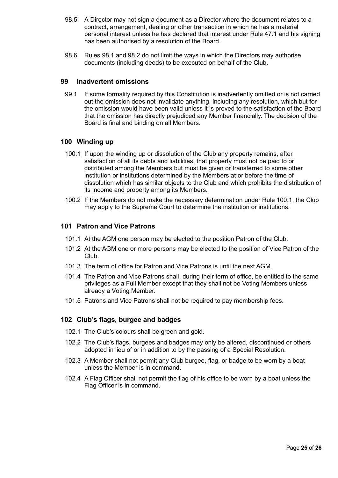- 98.5 A Director may not sign a document as a Director where the document relates to a contract, arrangement, dealing or other transaction in which he has a material personal interest unless he has declared that interest under Rule 47.1 and his signing has been authorised by a resolution of the Board.
- 98.6 Rules 98.1 and 98.2 do not limit the ways in which the Directors may authorise documents (including deeds) to be executed on behalf of the Club.

#### **99 Inadvertent omissions**

99.1 If some formality required by this Constitution is inadvertently omitted or is not carried out the omission does not invalidate anything, including any resolution, which but for the omission would have been valid unless it is proved to the satisfaction of the Board that the omission has directly prejudiced any Member financially. The decision of the Board is final and binding on all Members.

#### **100 Winding up**

- 100.1 If upon the winding up or dissolution of the Club any property remains, after satisfaction of all its debts and liabilities, that property must not be paid to or distributed among the Members but must be given or transferred to some other institution or institutions determined by the Members at or before the time of dissolution which has similar objects to the Club and which prohibits the distribution of its income and property among its Members.
- 100.2 If the Members do not make the necessary determination under Rule 100.1, the Club may apply to the Supreme Court to determine the institution or institutions.

#### **101 Patron and Vice Patrons**

- 101.1 At the AGM one person may be elected to the position Patron of the Club.
- 101.2 At the AGM one or more persons may be elected to the position of Vice Patron of the Club.
- 101.3 The term of office for Patron and Vice Patrons is until the next AGM.
- 101.4 The Patron and Vice Patrons shall, during their term of office, be entitled to the same privileges as a Full Member except that they shall not be Voting Members unless already a Voting Member.
- 101.5 Patrons and Vice Patrons shall not be required to pay membership fees.

#### **102 Club's flags, burgee and badges**

- 102.1 The Club's colours shall be green and gold.
- 102.2 The Club's flags, burgees and badges may only be altered, discontinued or others adopted in lieu of or in addition to by the passing of a Special Resolution.
- 102.3 A Member shall not permit any Club burgee, flag, or badge to be worn by a boat unless the Member is in command.
- 102.4 A Flag Officer shall not permit the flag of his office to be worn by a boat unless the Flag Officer is in command.